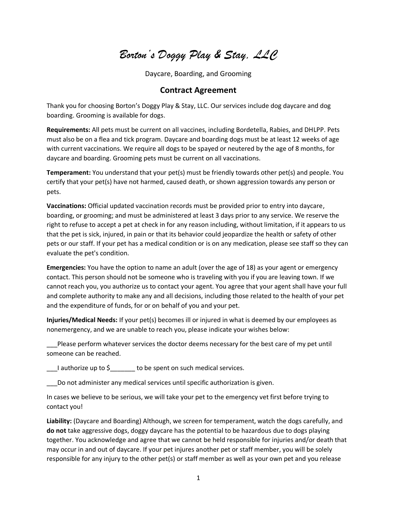*Borton's Doggy Play & Stay, LLC*

Daycare, Boarding, and Grooming

## **Contract Agreement**

Thank you for choosing Borton's Doggy Play & Stay, LLC. Our services include dog daycare and dog boarding. Grooming is available for dogs.

**Requirements:** All pets must be current on all vaccines, including Bordetella, Rabies, and DHLPP. Pets must also be on a flea and tick program. Daycare and boarding dogs must be at least 12 weeks of age with current vaccinations. We require all dogs to be spayed or neutered by the age of 8 months, for daycare and boarding. Grooming pets must be current on all vaccinations.

**Temperament:** You understand that your pet(s) must be friendly towards other pet(s) and people. You certify that your pet(s) have not harmed, caused death, or shown aggression towards any person or pets.

**Vaccinations:** Official updated vaccination records must be provided prior to entry into daycare, boarding, or grooming; and must be administered at least 3 days prior to any service. We reserve the right to refuse to accept a pet at check in for any reason including, without limitation, if it appears to us that the pet is sick, injured, in pain or that its behavior could jeopardize the health or safety of other pets or our staff. If your pet has a medical condition or is on any medication, please see staff so they can evaluate the pet's condition.

**Emergencies:** You have the option to name an adult (over the age of 18) as your agent or emergency contact. This person should not be someone who is traveling with you if you are leaving town. If we cannot reach you, you authorize us to contact your agent. You agree that your agent shall have your full and complete authority to make any and all decisions, including those related to the health of your pet and the expenditure of funds, for or on behalf of you and your pet.

**Injuries/Medical Needs:** If your pet(s) becomes ill or injured in what is deemed by our employees as nonemergency, and we are unable to reach you, please indicate your wishes below:

Please perform whatever services the doctor deems necessary for the best care of my pet until someone can be reached.

I authorize up to  $\zeta$  to be spent on such medical services.

Do not administer any medical services until specific authorization is given.

In cases we believe to be serious, we will take your pet to the emergency vet first before trying to contact you!

**Liability:** (Daycare and Boarding) Although, we screen for temperament, watch the dogs carefully, and **do not** take aggressive dogs, doggy daycare has the potential to be hazardous due to dogs playing together. You acknowledge and agree that we cannot be held responsible for injuries and/or death that may occur in and out of daycare. If your pet injures another pet or staff member, you will be solely responsible for any injury to the other pet(s) or staff member as well as your own pet and you release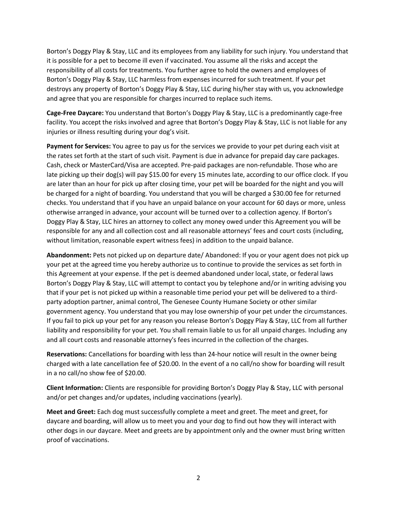Borton's Doggy Play & Stay, LLC and its employees from any liability for such injury. You understand that it is possible for a pet to become ill even if vaccinated. You assume all the risks and accept the responsibility of all costs for treatments. You further agree to hold the owners and employees of Borton's Doggy Play & Stay, LLC harmless from expenses incurred for such treatment. If your pet destroys any property of Borton's Doggy Play & Stay, LLC during his/her stay with us, you acknowledge and agree that you are responsible for charges incurred to replace such items.

**Cage-Free Daycare:** You understand that Borton's Doggy Play & Stay, LLC is a predominantly cage-free facility. You accept the risks involved and agree that Borton's Doggy Play & Stay, LLC is not liable for any injuries or illness resulting during your dog's visit.

**Payment for Services:** You agree to pay us for the services we provide to your pet during each visit at the rates set forth at the start of such visit. Payment is due in advance for prepaid day care packages. Cash, check or MasterCard/Visa are accepted. Pre-paid packages are non-refundable. Those who are late picking up their dog(s) will pay \$15.00 for every 15 minutes late, according to our office clock. If you are later than an hour for pick up after closing time, your pet will be boarded for the night and you will be charged for a night of boarding. You understand that you will be charged a \$30.00 fee for returned checks. You understand that if you have an unpaid balance on your account for 60 days or more, unless otherwise arranged in advance, your account will be turned over to a collection agency. If Borton's Doggy Play & Stay, LLC hires an attorney to collect any money owed under this Agreement you will be responsible for any and all collection cost and all reasonable attorneys' fees and court costs (including, without limitation, reasonable expert witness fees) in addition to the unpaid balance.

**Abandonment:** Pets not picked up on departure date/ Abandoned: If you or your agent does not pick up your pet at the agreed time you hereby authorize us to continue to provide the services as set forth in this Agreement at your expense. If the pet is deemed abandoned under local, state, or federal laws Borton's Doggy Play & Stay, LLC will attempt to contact you by telephone and/or in writing advising you that if your pet is not picked up within a reasonable time period your pet will be delivered to a thirdparty adoption partner, animal control, The Genesee County Humane Society or other similar government agency. You understand that you may lose ownership of your pet under the circumstances. If you fail to pick up your pet for any reason you release Borton's Doggy Play & Stay, LLC from all further liability and responsibility for your pet. You shall remain liable to us for all unpaid charges. Including any and all court costs and reasonable attorney's fees incurred in the collection of the charges.

**Reservations:** Cancellations for boarding with less than 24-hour notice will result in the owner being charged with a late cancellation fee of \$20.00. In the event of a no call/no show for boarding will result in a no call/no show fee of \$20.00.

**Client Information:** Clients are responsible for providing Borton's Doggy Play & Stay, LLC with personal and/or pet changes and/or updates, including vaccinations (yearly).

**Meet and Greet:** Each dog must successfully complete a meet and greet. The meet and greet, for daycare and boarding, will allow us to meet you and your dog to find out how they will interact with other dogs in our daycare. Meet and greets are by appointment only and the owner must bring written proof of vaccinations.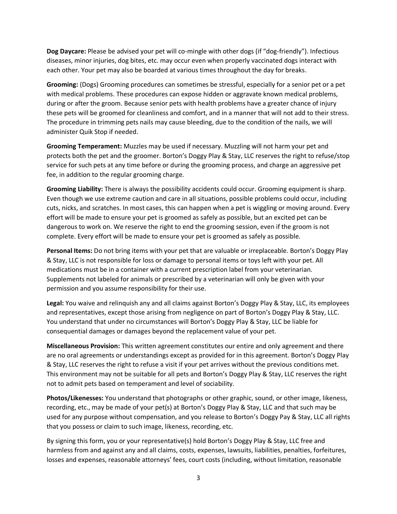**Dog Daycare:** Please be advised your pet will co-mingle with other dogs (if "dog-friendly"). Infectious diseases, minor injuries, dog bites, etc. may occur even when properly vaccinated dogs interact with each other. Your pet may also be boarded at various times throughout the day for breaks.

**Grooming:** (Dogs) Grooming procedures can sometimes be stressful, especially for a senior pet or a pet with medical problems. These procedures can expose hidden or aggravate known medical problems, during or after the groom. Because senior pets with health problems have a greater chance of injury these pets will be groomed for cleanliness and comfort, and in a manner that will not add to their stress. The procedure in trimming pets nails may cause bleeding, due to the condition of the nails, we will administer Quik Stop if needed.

**Grooming Temperament:** Muzzles may be used if necessary. Muzzling will not harm your pet and protects both the pet and the groomer. Borton's Doggy Play & Stay, LLC reserves the right to refuse/stop service for such pets at any time before or during the grooming process, and charge an aggressive pet fee, in addition to the regular grooming charge.

**Grooming Liability:** There is always the possibility accidents could occur. Grooming equipment is sharp. Even though we use extreme caution and care in all situations, possible problems could occur, including cuts, nicks, and scratches. In most cases, this can happen when a pet is wiggling or moving around. Every effort will be made to ensure your pet is groomed as safely as possible, but an excited pet can be dangerous to work on. We reserve the right to end the grooming session, even if the groom is not complete. Every effort will be made to ensure your pet is groomed as safely as possible.

**Personal Items:** Do not bring items with your pet that are valuable or irreplaceable. Borton's Doggy Play & Stay, LLC is not responsible for loss or damage to personal items or toys left with your pet. All medications must be in a container with a current prescription label from your veterinarian. Supplements not labeled for animals or prescribed by a veterinarian will only be given with your permission and you assume responsibility for their use.

**Legal:** You waive and relinquish any and all claims against Borton's Doggy Play & Stay, LLC, its employees and representatives, except those arising from negligence on part of Borton's Doggy Play & Stay, LLC. You understand that under no circumstances will Borton's Doggy Play & Stay, LLC be liable for consequential damages or damages beyond the replacement value of your pet.

**Miscellaneous Provision:** This written agreement constitutes our entire and only agreement and there are no oral agreements or understandings except as provided for in this agreement. Borton's Doggy Play & Stay, LLC reserves the right to refuse a visit if your pet arrives without the previous conditions met. This environment may not be suitable for all pets and Borton's Doggy Play & Stay, LLC reserves the right not to admit pets based on temperament and level of sociability.

**Photos/Likenesses:** You understand that photographs or other graphic, sound, or other image, likeness, recording, etc., may be made of your pet(s) at Borton's Doggy Play & Stay, LLC and that such may be used for any purpose without compensation, and you release to Borton's Doggy Pay & Stay, LLC all rights that you possess or claim to such image, likeness, recording, etc.

By signing this form, you or your representative(s) hold Borton's Doggy Play & Stay, LLC free and harmless from and against any and all claims, costs, expenses, lawsuits, liabilities, penalties, forfeitures, losses and expenses, reasonable attorneys' fees, court costs (including, without limitation, reasonable